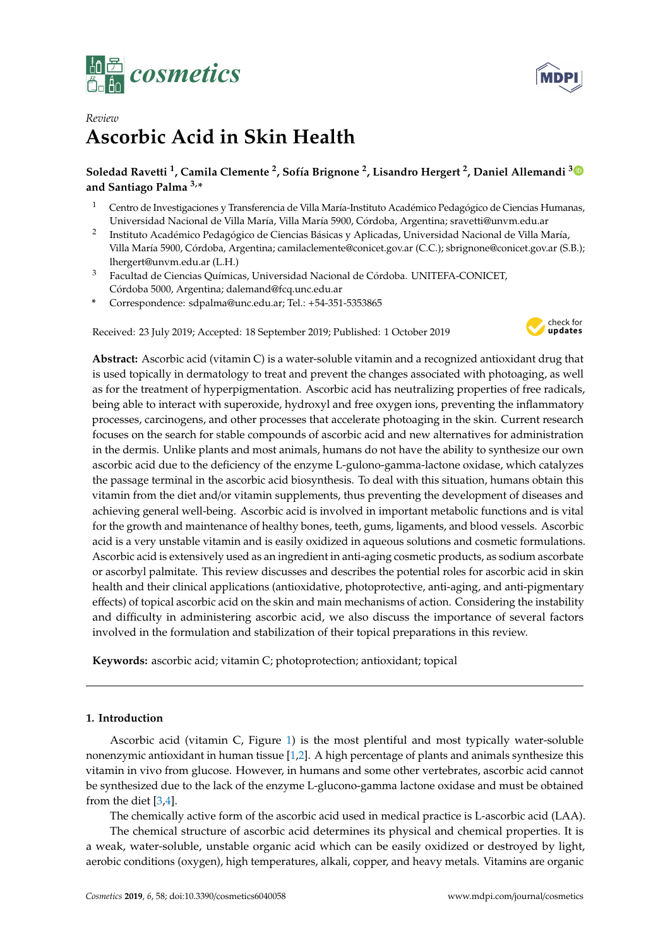



# *Review* **Ascorbic Acid in Skin Health**

# **Soledad Ravetti <sup>1</sup> , Camila Clemente <sup>2</sup> , Sofía Brignone <sup>2</sup> , Lisandro Hergert <sup>2</sup> , Daniel Allemandi [3](https://orcid.org/0000-0003-0449-0302) and Santiago Palma 3,\***

- <sup>1</sup> Centro de Investigaciones y Transferencia de Villa María-Instituto Académico Pedagógico de Ciencias Humanas, Universidad Nacional de Villa María, Villa María 5900, Córdoba, Argentina; sravetti@unvm.edu.ar
- 2 Instituto Académico Pedagógico de Ciencias Básicas y Aplicadas, Universidad Nacional de Villa María, Villa María 5900, Córdoba, Argentina; camilaclemente@conicet.gov.ar (C.C.); sbrignone@conicet.gov.ar (S.B.); lhergert@unvm.edu.ar (L.H.)
- <sup>3</sup> Facultad de Ciencias Químicas, Universidad Nacional de Córdoba. UNITEFA-CONICET, Córdoba 5000, Argentina; dalemand@fcq.unc.edu.ar
- **\*** Correspondence: sdpalma@unc.edu.ar; Tel.: +54-351-5353865

Received: 23 July 2019; Accepted: 18 September 2019; Published: 1 October 2019



**Abstract:** Ascorbic acid (vitamin C) is a water-soluble vitamin and a recognized antioxidant drug that is used topically in dermatology to treat and prevent the changes associated with photoaging, as well as for the treatment of hyperpigmentation. Ascorbic acid has neutralizing properties of free radicals, being able to interact with superoxide, hydroxyl and free oxygen ions, preventing the inflammatory processes, carcinogens, and other processes that accelerate photoaging in the skin. Current research focuses on the search for stable compounds of ascorbic acid and new alternatives for administration in the dermis. Unlike plants and most animals, humans do not have the ability to synthesize our own ascorbic acid due to the deficiency of the enzyme L-gulono-gamma-lactone oxidase, which catalyzes the passage terminal in the ascorbic acid biosynthesis. To deal with this situation, humans obtain this vitamin from the diet and/or vitamin supplements, thus preventing the development of diseases and achieving general well-being. Ascorbic acid is involved in important metabolic functions and is vital for the growth and maintenance of healthy bones, teeth, gums, ligaments, and blood vessels. Ascorbic acid is a very unstable vitamin and is easily oxidized in aqueous solutions and cosmetic formulations. Ascorbic acid is extensively used as an ingredient in anti-aging cosmetic products, as sodium ascorbate or ascorbyl palmitate. This review discusses and describes the potential roles for ascorbic acid in skin health and their clinical applications (antioxidative, photoprotective, anti-aging, and anti-pigmentary effects) of topical ascorbic acid on the skin and main mechanisms of action. Considering the instability and difficulty in administering ascorbic acid, we also discuss the importance of several factors involved in the formulation and stabilization of their topical preparations in this review.

**Keywords:** ascorbic acid; vitamin C; photoprotection; antioxidant; topical

## **1. Introduction**

Ascorbic acid (vitamin C, Figure [1\)](#page-1-0) is the most plentiful and most typically water-soluble nonenzymic antioxidant in human tissue [\[1](#page-5-0)[,2\]](#page-5-1). A high percentage of plants and animals synthesize this vitamin in vivo from glucose. However, in humans and some other vertebrates, ascorbic acid cannot be synthesized due to the lack of the enzyme L-glucono-gamma lactone oxidase and must be obtained from the diet [\[3](#page-5-2)[,4\]](#page-5-3).

The chemically active form of the ascorbic acid used in medical practice is L-ascorbic acid (LAA).

The chemical structure of ascorbic acid determines its physical and chemical properties. It is a weak, water-soluble, unstable organic acid which can be easily oxidized or destroyed by light, aerobic conditions (oxygen), high temperatures, alkali, copper, and heavy metals. Vitamins are organic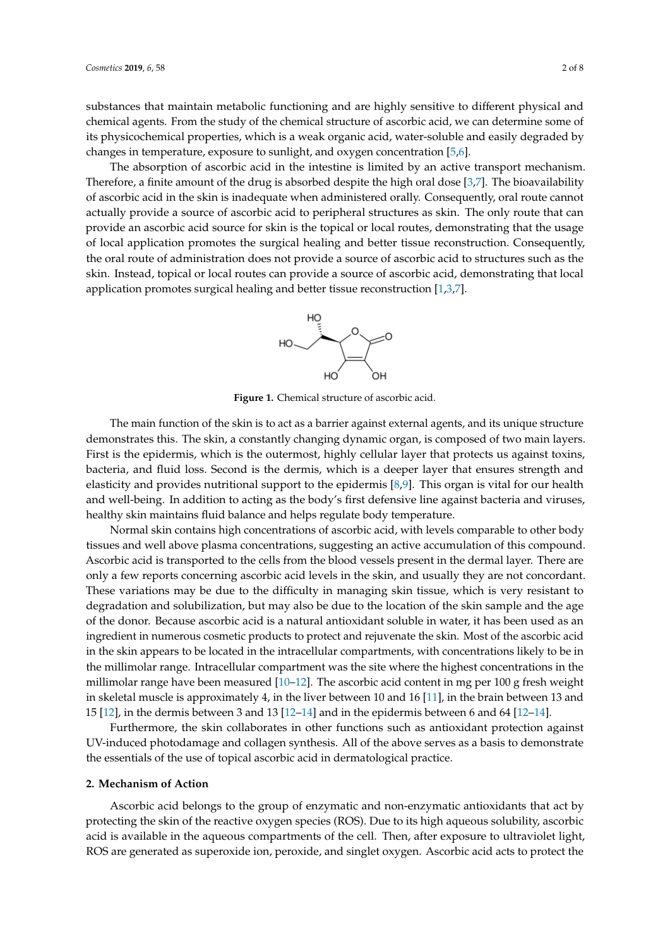substances that maintain metabolic functioning and are highly sensitive to different physical and chemical agents. From the study of the chemical structure of ascorbic acid, we can determine some of its physicochemical properties, which is a weak organic acid, water-soluble and easily degraded by changes in temperature, exposure to sunlight, and oxygen concentration  $[5,6]$  $[5,6]$ .

The absorption of ascorbic acid in the intestine is limited by an active transport mechanism. Therefore, a finite amount of the drug is absorbed despite the high oral dose [\[3](#page-5-2)[,7\]](#page-5-6). The bioavailability of ascorbic acid in the skin is inadequate when administered orally. Consequently, oral route cannot of ascorbic acid in the skin is inadequate when administered orally. Consequently, oral route cannot actually provide a source of ascorbic acid to peripheral structures as skin. The only route that can actually provide a source of ascorbic acid to peripheral structures as skin. The only route that can provide an ascorbic acid source for skin is the topical or local routes, demonstrating that the usage of local application promotes the surgical healing and better tissue reconstruction. Consequently, local application promotes the surgical healing and better tissue reconstruction. Consequently, the the oral route of administration does not provide a source of ascorbic acid to structures such as the  $\,$ skin. Instead, topical or local routes can provide a source of ascorbic acid, demonstrating that local Instead, topical or local routes can provide a source of ascorbic acid, demonstrating that local application promotes surgical healing and better tissue reconstruction [\[1](#page-5-0)[,3](#page-5-2)[,7\]](#page-5-6). application promotes surgical healing and better tissue reconstruction. [1,3,7]. socorte acid in the skin is inadequate when administered orally. Consequently, oral route can



**Figure 1.** Chemical structure of ascorbic acid.

<span id="page-1-0"></span>**Figure 1.** Chemical structure of ascorbic acid. demonstrates this. The skin, a constantly changing dynamic organ, is composed of two main layers. First is the epidermis, which is the outermost, highly cellular layer that protects us against toxins, bacteria, and fluid loss. Second is the dermis, which is a deeper layer that ensures strength and elasticity and provide[s](#page-6-0) nutritional support to the epidermis [8,9]. This organ is vital for our health and well-being. In addition to acting as the body's first defensive line against bacteria and viruses, healthy skin maintains fluid balance and helps regulate body temperature. The main function of the skin is to act as a barrier against external agents, and its unique structure

Normal skin contains high concentrations of ascorbic acid, with levels comparable to other body tissues and well above plasma concentrations, suggesting an active accumulation of this compound. Ascorbic acid is transported to the cells from the blood vessels present in the dermal layer. There are only a few reports concerning ascorbic acid levels in the skin, and usually they are not concordant. only a few reports concerning as few reports concerning as concerning as concerning as concerning as concerning as These variations may be due to the difficulty in managing skin tissue, which is very resistant to the difficulty in managing skin tissue, which is very resistant to degradation and solubilization, but may also be due to the location of the skin sample and the age the donor. Because ascorbic acid is a natural antioxidant soluble in water, it has been used as an of the donor. Because ascorbic acid is a natural antioxidant soluble in water, it has been used as an ingredient in numerous cosmetic products to protect and rejuvenate the skin. Most of the ascorbic ingredient in numerous cosmetic products to protect and rejuvenate the skin. Most of the ascorbic acid in the skin appears to be located in the intracellular compartments, with concentrations likely to be in be in the millimolar range. Intracellular compartment was the site where the highest concentrations the millimolar range. Intracellular compartment was the site where the highest concentrations in the in the millimolar range have been measured [10–12]. The ascorbic acid content in mg per 100 g fresh millimolar range have been measured [\[10–](#page-6-2)[12\]](#page-6-3). The ascorbic acid content in mg per 100 g fresh weight in skeletal muscle is approximately 4, in the liver between 10 and 16 [\[11\]](#page-6-4), in the brain between 13 and 15 [12], in the dermis between 3 [and](#page-6-3) [13](#page-6-5) [12–14] and in the epidermis between 6 and [64 \[](#page-6-3)[12–](#page-6-5)14].

Furthermore, the skin collaborates in other functions such as antioxidant protection against UV-induced photodamage and collagen synthesis. All of the above serves as a basis to demonstrate the essentials of the use of topical ascorbic acid in dermatological practice.

## **2. Mechanism of Action 2. Mechanism of Action**

Ascorbic acid belongs to the group of enzymatic and non-enzymatic antioxidants that act by Ascorbic acid belongs to the group of enzymatic and non-enzymatic antioxidants that act by protecting the skin of the reactive oxygen species (ROS). Due to its high aqueous solubility, ascorbic protecting the skin of the reactive oxygen species (ROS). Due to its high aqueous solubility, ascorbic acid is available in the aqueous compartments of the cell. Then, after exposure to ultraviolet light, acid is available in the aqueous compartments of the cell. Then, after exposure to ultraviolet light, ROS are generated as superoxide ion, peroxide, and singlet oxygen. Ascorbic acid acts to protect the ROS are generated as superoxide ion, peroxide, and singlet oxygen. Ascorbic acid acts to protect the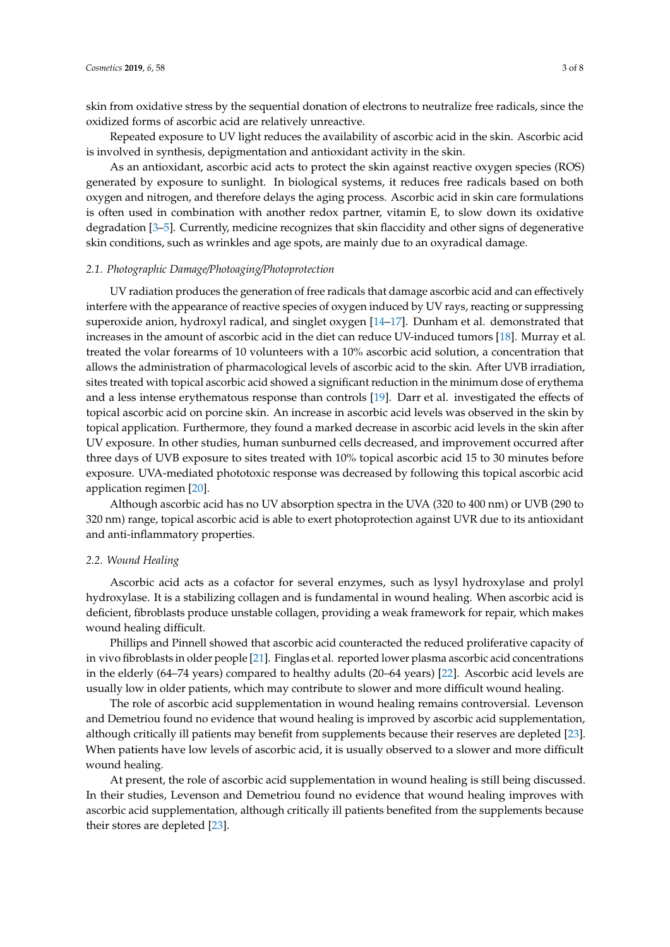skin from oxidative stress by the sequential donation of electrons to neutralize free radicals, since the oxidized forms of ascorbic acid are relatively unreactive.

Repeated exposure to UV light reduces the availability of ascorbic acid in the skin. Ascorbic acid is involved in synthesis, depigmentation and antioxidant activity in the skin.

As an antioxidant, ascorbic acid acts to protect the skin against reactive oxygen species (ROS) generated by exposure to sunlight. In biological systems, it reduces free radicals based on both oxygen and nitrogen, and therefore delays the aging process. Ascorbic acid in skin care formulations is often used in combination with another redox partner, vitamin E, to slow down its oxidative degradation [\[3–](#page-5-2)[5\]](#page-5-4). Currently, medicine recognizes that skin flaccidity and other signs of degenerative skin conditions, such as wrinkles and age spots, are mainly due to an oxyradical damage.

#### *2.1. Photographic Damage*/*Photoaging*/*Photoprotection*

UV radiation produces the generation of free radicals that damage ascorbic acid and can effectively interfere with the appearance of reactive species of oxygen induced by UV rays, reacting or suppressing superoxide anion, hydroxyl radical, and singlet oxygen [\[14–](#page-6-5)[17\]](#page-6-6). Dunham et al. demonstrated that increases in the amount of ascorbic acid in the diet can reduce UV-induced tumors [\[18\]](#page-6-7). Murray et al. treated the volar forearms of 10 volunteers with a 10% ascorbic acid solution, a concentration that allows the administration of pharmacological levels of ascorbic acid to the skin. After UVB irradiation, sites treated with topical ascorbic acid showed a significant reduction in the minimum dose of erythema and a less intense erythematous response than controls [\[19\]](#page-6-8). Darr et al. investigated the effects of topical ascorbic acid on porcine skin. An increase in ascorbic acid levels was observed in the skin by topical application. Furthermore, they found a marked decrease in ascorbic acid levels in the skin after UV exposure. In other studies, human sunburned cells decreased, and improvement occurred after three days of UVB exposure to sites treated with 10% topical ascorbic acid 15 to 30 minutes before exposure. UVA-mediated phototoxic response was decreased by following this topical ascorbic acid application regimen [\[20\]](#page-6-9).

Although ascorbic acid has no UV absorption spectra in the UVA (320 to 400 nm) or UVB (290 to 320 nm) range, topical ascorbic acid is able to exert photoprotection against UVR due to its antioxidant and anti-inflammatory properties.

#### *2.2. Wound Healing*

Ascorbic acid acts as a cofactor for several enzymes, such as lysyl hydroxylase and prolyl hydroxylase. It is a stabilizing collagen and is fundamental in wound healing. When ascorbic acid is deficient, fibroblasts produce unstable collagen, providing a weak framework for repair, which makes wound healing difficult.

Phillips and Pinnell showed that ascorbic acid counteracted the reduced proliferative capacity of in vivo fibroblasts in older people [\[21\]](#page-6-10). Finglas et al. reported lower plasma ascorbic acid concentrations in the elderly (64–74 years) compared to healthy adults (20–64 years) [\[22\]](#page-6-11). Ascorbic acid levels are usually low in older patients, which may contribute to slower and more difficult wound healing.

The role of ascorbic acid supplementation in wound healing remains controversial. Levenson and Demetriou found no evidence that wound healing is improved by ascorbic acid supplementation, although critically ill patients may benefit from supplements because their reserves are depleted [\[23\]](#page-6-12). When patients have low levels of ascorbic acid, it is usually observed to a slower and more difficult wound healing.

At present, the role of ascorbic acid supplementation in wound healing is still being discussed. In their studies, Levenson and Demetriou found no evidence that wound healing improves with ascorbic acid supplementation, although critically ill patients benefited from the supplements because their stores are depleted [\[23\]](#page-6-12).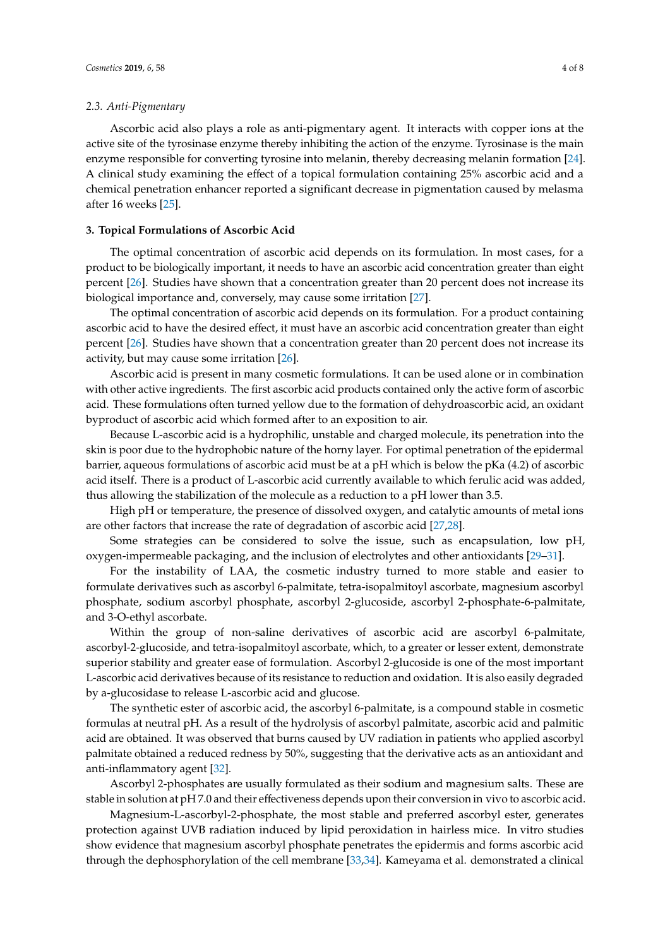#### *2.3. Anti-Pigmentary*

Ascorbic acid also plays a role as anti-pigmentary agent. It interacts with copper ions at the active site of the tyrosinase enzyme thereby inhibiting the action of the enzyme. Tyrosinase is the main enzyme responsible for converting tyrosine into melanin, thereby decreasing melanin formation [\[24\]](#page-6-13). A clinical study examining the effect of a topical formulation containing 25% ascorbic acid and a chemical penetration enhancer reported a significant decrease in pigmentation caused by melasma after 16 weeks [\[25\]](#page-6-14).

#### **3. Topical Formulations of Ascorbic Acid**

The optimal concentration of ascorbic acid depends on its formulation. In most cases, for a product to be biologically important, it needs to have an ascorbic acid concentration greater than eight percent [\[26\]](#page-6-15). Studies have shown that a concentration greater than 20 percent does not increase its biological importance and, conversely, may cause some irritation [\[27\]](#page-6-16).

The optimal concentration of ascorbic acid depends on its formulation. For a product containing ascorbic acid to have the desired effect, it must have an ascorbic acid concentration greater than eight percent [\[26\]](#page-6-15). Studies have shown that a concentration greater than 20 percent does not increase its activity, but may cause some irritation [\[26\]](#page-6-15).

Ascorbic acid is present in many cosmetic formulations. It can be used alone or in combination with other active ingredients. The first ascorbic acid products contained only the active form of ascorbic acid. These formulations often turned yellow due to the formation of dehydroascorbic acid, an oxidant byproduct of ascorbic acid which formed after to an exposition to air.

Because L-ascorbic acid is a hydrophilic, unstable and charged molecule, its penetration into the skin is poor due to the hydrophobic nature of the horny layer. For optimal penetration of the epidermal barrier, aqueous formulations of ascorbic acid must be at a pH which is below the pKa (4.2) of ascorbic acid itself. There is a product of L-ascorbic acid currently available to which ferulic acid was added, thus allowing the stabilization of the molecule as a reduction to a pH lower than 3.5.

High pH or temperature, the presence of dissolved oxygen, and catalytic amounts of metal ions are other factors that increase the rate of degradation of ascorbic acid [\[27,](#page-6-16)[28\]](#page-6-17).

Some strategies can be considered to solve the issue, such as encapsulation, low pH, oxygen-impermeable packaging, and the inclusion of electrolytes and other antioxidants [\[29](#page-6-18)[–31\]](#page-6-19).

For the instability of LAA, the cosmetic industry turned to more stable and easier to formulate derivatives such as ascorbyl 6-palmitate, tetra-isopalmitoyl ascorbate, magnesium ascorbyl phosphate, sodium ascorbyl phosphate, ascorbyl 2-glucoside, ascorbyl 2-phosphate-6-palmitate, and 3-O-ethyl ascorbate.

Within the group of non-saline derivatives of ascorbic acid are ascorbyl 6-palmitate, ascorbyl-2-glucoside, and tetra-isopalmitoyl ascorbate, which, to a greater or lesser extent, demonstrate superior stability and greater ease of formulation. Ascorbyl 2-glucoside is one of the most important L-ascorbic acid derivatives because of its resistance to reduction and oxidation. It is also easily degraded by a-glucosidase to release L-ascorbic acid and glucose.

The synthetic ester of ascorbic acid, the ascorbyl 6-palmitate, is a compound stable in cosmetic formulas at neutral pH. As a result of the hydrolysis of ascorbyl palmitate, ascorbic acid and palmitic acid are obtained. It was observed that burns caused by UV radiation in patients who applied ascorbyl palmitate obtained a reduced redness by 50%, suggesting that the derivative acts as an antioxidant and anti-inflammatory agent [\[32\]](#page-7-0).

Ascorbyl 2-phosphates are usually formulated as their sodium and magnesium salts. These are stable in solution at pH 7.0 and their effectiveness depends upon their conversion in vivo to ascorbic acid.

Magnesium-L-ascorbyl-2-phosphate, the most stable and preferred ascorbyl ester, generates protection against UVB radiation induced by lipid peroxidation in hairless mice. In vitro studies show evidence that magnesium ascorbyl phosphate penetrates the epidermis and forms ascorbic acid through the dephosphorylation of the cell membrane [\[33,](#page-7-1)[34\]](#page-7-2). Kameyama et al. demonstrated a clinical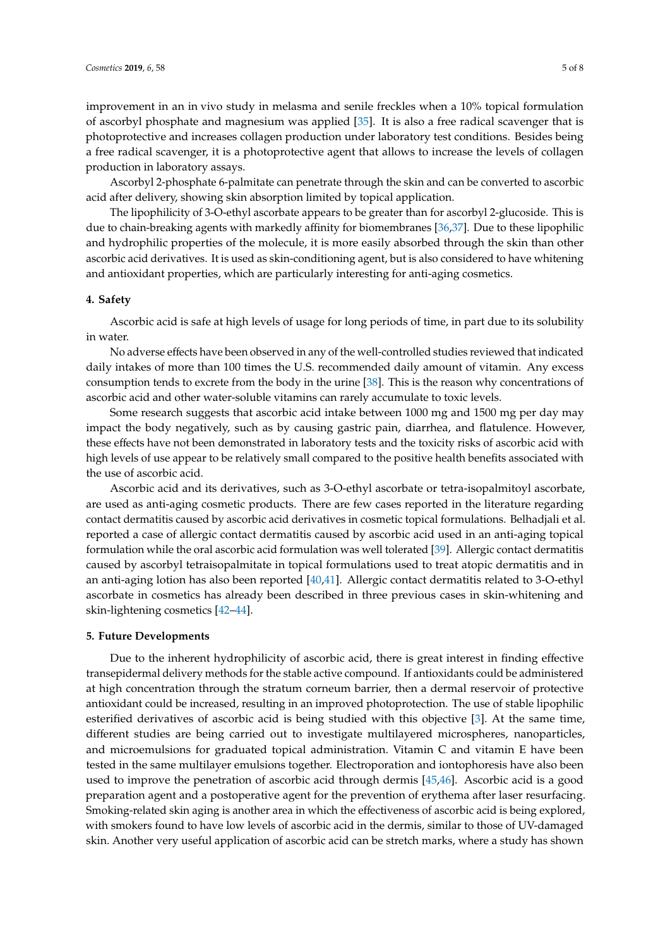improvement in an in vivo study in melasma and senile freckles when a 10% topical formulation of ascorbyl phosphate and magnesium was applied [\[35\]](#page-7-3). It is also a free radical scavenger that is photoprotective and increases collagen production under laboratory test conditions. Besides being a free radical scavenger, it is a photoprotective agent that allows to increase the levels of collagen production in laboratory assays.

Ascorbyl 2-phosphate 6-palmitate can penetrate through the skin and can be converted to ascorbic acid after delivery, showing skin absorption limited by topical application.

The lipophilicity of 3-O-ethyl ascorbate appears to be greater than for ascorbyl 2-glucoside. This is due to chain-breaking agents with markedly affinity for biomembranes [\[36](#page-7-4)[,37\]](#page-7-5). Due to these lipophilic and hydrophilic properties of the molecule, it is more easily absorbed through the skin than other ascorbic acid derivatives. It is used as skin-conditioning agent, but is also considered to have whitening and antioxidant properties, which are particularly interesting for anti-aging cosmetics.

#### **4. Safety**

Ascorbic acid is safe at high levels of usage for long periods of time, in part due to its solubility in water.

No adverse effects have been observed in any of the well-controlled studies reviewed that indicated daily intakes of more than 100 times the U.S. recommended daily amount of vitamin. Any excess consumption tends to excrete from the body in the urine [\[38\]](#page-7-6). This is the reason why concentrations of ascorbic acid and other water-soluble vitamins can rarely accumulate to toxic levels.

Some research suggests that ascorbic acid intake between 1000 mg and 1500 mg per day may impact the body negatively, such as by causing gastric pain, diarrhea, and flatulence. However, these effects have not been demonstrated in laboratory tests and the toxicity risks of ascorbic acid with high levels of use appear to be relatively small compared to the positive health benefits associated with the use of ascorbic acid.

Ascorbic acid and its derivatives, such as 3-O-ethyl ascorbate or tetra-isopalmitoyl ascorbate, are used as anti-aging cosmetic products. There are few cases reported in the literature regarding contact dermatitis caused by ascorbic acid derivatives in cosmetic topical formulations. Belhadjali et al. reported a case of allergic contact dermatitis caused by ascorbic acid used in an anti-aging topical formulation while the oral ascorbic acid formulation was well tolerated [\[39\]](#page-7-7). Allergic contact dermatitis caused by ascorbyl tetraisopalmitate in topical formulations used to treat atopic dermatitis and in an anti-aging lotion has also been reported [\[40,](#page-7-8)[41\]](#page-7-9). Allergic contact dermatitis related to 3-O-ethyl ascorbate in cosmetics has already been described in three previous cases in skin-whitening and skin-lightening cosmetics [\[42](#page-7-10)[–44\]](#page-7-11).

#### **5. Future Developments**

Due to the inherent hydrophilicity of ascorbic acid, there is great interest in finding effective transepidermal delivery methods for the stable active compound. If antioxidants could be administered at high concentration through the stratum corneum barrier, then a dermal reservoir of protective antioxidant could be increased, resulting in an improved photoprotection. The use of stable lipophilic esterified derivatives of ascorbic acid is being studied with this objective [\[3\]](#page-5-2). At the same time, different studies are being carried out to investigate multilayered microspheres, nanoparticles, and microemulsions for graduated topical administration. Vitamin C and vitamin E have been tested in the same multilayer emulsions together. Electroporation and iontophoresis have also been used to improve the penetration of ascorbic acid through dermis [\[45](#page-7-12)[,46\]](#page-7-13). Ascorbic acid is a good preparation agent and a postoperative agent for the prevention of erythema after laser resurfacing. Smoking-related skin aging is another area in which the effectiveness of ascorbic acid is being explored, with smokers found to have low levels of ascorbic acid in the dermis, similar to those of UV-damaged skin. Another very useful application of ascorbic acid can be stretch marks, where a study has shown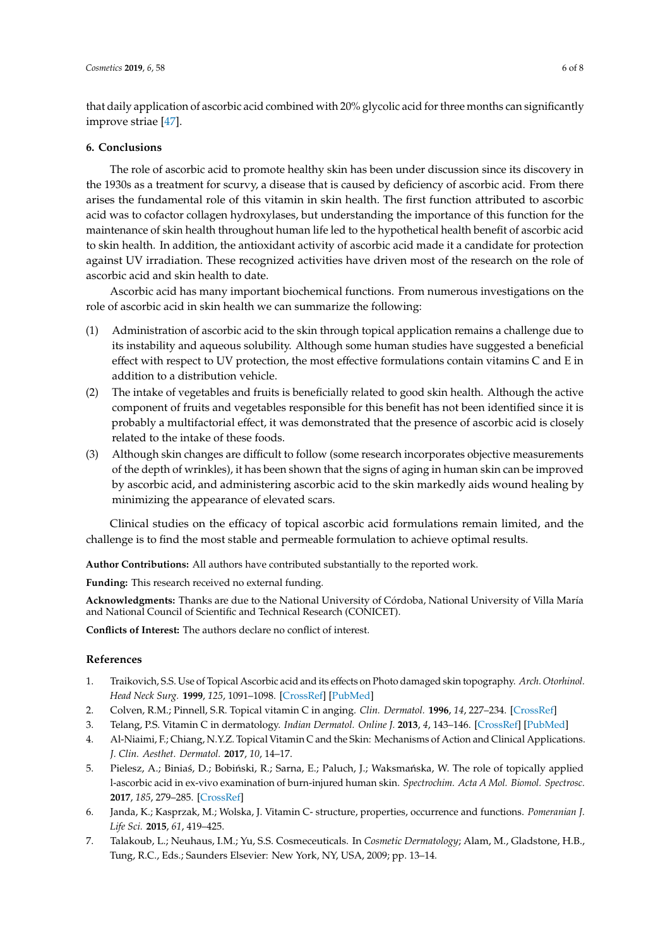that daily application of ascorbic acid combined with 20% glycolic acid for three months can significantly improve striae [\[47\]](#page-7-14).

#### **6. Conclusions**

The role of ascorbic acid to promote healthy skin has been under discussion since its discovery in the 1930s as a treatment for scurvy, a disease that is caused by deficiency of ascorbic acid. From there arises the fundamental role of this vitamin in skin health. The first function attributed to ascorbic acid was to cofactor collagen hydroxylases, but understanding the importance of this function for the maintenance of skin health throughout human life led to the hypothetical health benefit of ascorbic acid to skin health. In addition, the antioxidant activity of ascorbic acid made it a candidate for protection against UV irradiation. These recognized activities have driven most of the research on the role of ascorbic acid and skin health to date.

Ascorbic acid has many important biochemical functions. From numerous investigations on the role of ascorbic acid in skin health we can summarize the following:

- (1) Administration of ascorbic acid to the skin through topical application remains a challenge due to its instability and aqueous solubility. Although some human studies have suggested a beneficial effect with respect to UV protection, the most effective formulations contain vitamins C and E in addition to a distribution vehicle.
- (2) The intake of vegetables and fruits is beneficially related to good skin health. Although the active component of fruits and vegetables responsible for this benefit has not been identified since it is probably a multifactorial effect, it was demonstrated that the presence of ascorbic acid is closely related to the intake of these foods.
- (3) Although skin changes are difficult to follow (some research incorporates objective measurements of the depth of wrinkles), it has been shown that the signs of aging in human skin can be improved by ascorbic acid, and administering ascorbic acid to the skin markedly aids wound healing by minimizing the appearance of elevated scars.

Clinical studies on the efficacy of topical ascorbic acid formulations remain limited, and the challenge is to find the most stable and permeable formulation to achieve optimal results.

**Author Contributions:** All authors have contributed substantially to the reported work.

**Funding:** This research received no external funding.

**Acknowledgments:** Thanks are due to the National University of Córdoba, National University of Villa María and National Council of Scientific and Technical Research (CONICET).

**Conflicts of Interest:** The authors declare no conflict of interest.

### **References**

- <span id="page-5-0"></span>1. Traikovich, S.S. Use of Topical Ascorbic acid and its effects on Photo damaged skin topography. *Arch. Otorhinol. Head Neck Surg.* **1999**, *125*, 1091–1098. [\[CrossRef\]](http://dx.doi.org/10.1001/archotol.125.10.1091) [\[PubMed\]](http://www.ncbi.nlm.nih.gov/pubmed/10522500)
- <span id="page-5-1"></span>2. Colven, R.M.; Pinnell, S.R. Topical vitamin C in anging. *Clin. Dermatol.* **1996**, *14*, 227–234. [\[CrossRef\]](http://dx.doi.org/10.1016/0738-081X(95)00158-C)
- <span id="page-5-2"></span>3. Telang, P.S. Vitamin C in dermatology. *Indian Dermatol. Online J.* **2013**, *4*, 143–146. [\[CrossRef\]](http://dx.doi.org/10.4103/2229-5178.110593) [\[PubMed\]](http://www.ncbi.nlm.nih.gov/pubmed/23741676)
- <span id="page-5-3"></span>4. Al-Niaimi, F.; Chiang, N.Y.Z. Topical Vitamin C and the Skin: Mechanisms of Action and Clinical Applications. *J. Clin. Aesthet. Dermatol.* **2017**, *10*, 14–17.
- <span id="page-5-4"></span>5. Pielesz, A.; Biniaś, D.; Bobiński, R.; Sarna, E.; Paluch, J.; Waksmańska, W. The role of topically applied l-ascorbic acid in ex-vivo examination of burn-injured human skin. *Spectrochim. Acta A Mol. Biomol. Spectrosc.* **2017**, *185*, 279–285. [\[CrossRef\]](http://dx.doi.org/10.1016/j.saa.2017.05.055)
- <span id="page-5-5"></span>6. Janda, K.; Kasprzak, M.; Wolska, J. Vitamin C- structure, properties, occurrence and functions. *Pomeranian J. Life Sci.* **2015**, *61*, 419–425.
- <span id="page-5-6"></span>7. Talakoub, L.; Neuhaus, I.M.; Yu, S.S. Cosmeceuticals. In *Cosmetic Dermatology*; Alam, M., Gladstone, H.B., Tung, R.C., Eds.; Saunders Elsevier: New York, NY, USA, 2009; pp. 13–14.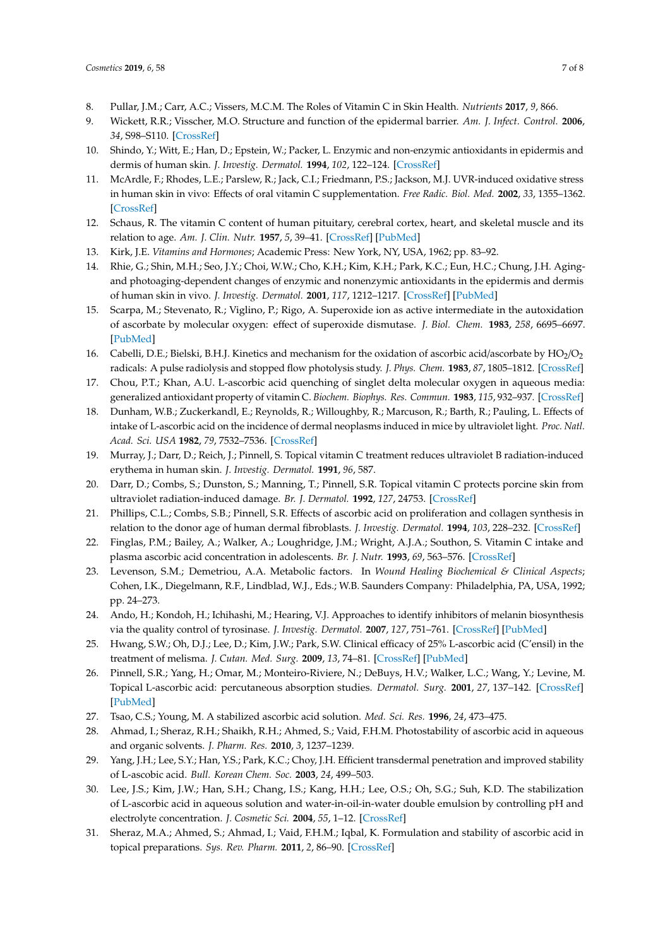- <span id="page-6-0"></span>8. Pullar, J.M.; Carr, A.C.; Vissers, M.C.M. The Roles of Vitamin C in Skin Health. *Nutrients* **2017**, *9*, 866.
- <span id="page-6-1"></span>9. Wickett, R.R.; Visscher, M.O. Structure and function of the epidermal barrier. *Am. J. Infect. Control.* **2006**, *34*, S98–S110. [\[CrossRef\]](http://dx.doi.org/10.1016/j.ajic.2006.05.295)
- <span id="page-6-2"></span>10. Shindo, Y.; Witt, E.; Han, D.; Epstein, W.; Packer, L. Enzymic and non-enzymic antioxidants in epidermis and dermis of human skin. *J. Investig. Dermatol.* **1994**, *102*, 122–124. [\[CrossRef\]](http://dx.doi.org/10.1111/1523-1747.ep12371744)
- <span id="page-6-4"></span>11. McArdle, F.; Rhodes, L.E.; Parslew, R.; Jack, C.I.; Friedmann, P.S.; Jackson, M.J. UVR-induced oxidative stress in human skin in vivo: Effects of oral vitamin C supplementation. *Free Radic. Biol. Med.* **2002**, *33*, 1355–1362. [\[CrossRef\]](http://dx.doi.org/10.1016/S0891-5849(02)01042-0)
- <span id="page-6-3"></span>12. Schaus, R. The vitamin C content of human pituitary, cerebral cortex, heart, and skeletal muscle and its relation to age. *Am. J. Clin. Nutr.* **1957**, *5*, 39–41. [\[CrossRef\]](http://dx.doi.org/10.1093/ajcn/5.1.39) [\[PubMed\]](http://www.ncbi.nlm.nih.gov/pubmed/13394538)
- 13. Kirk, J.E. *Vitamins and Hormones*; Academic Press: New York, NY, USA, 1962; pp. 83–92.
- <span id="page-6-5"></span>14. Rhie, G.; Shin, M.H.; Seo, J.Y.; Choi, W.W.; Cho, K.H.; Kim, K.H.; Park, K.C.; Eun, H.C.; Chung, J.H. Agingand photoaging-dependent changes of enzymic and nonenzymic antioxidants in the epidermis and dermis of human skin in vivo. *J. Investig. Dermatol.* **2001**, *117*, 1212–1217. [\[CrossRef\]](http://dx.doi.org/10.1046/j.0022-202x.2001.01469.x) [\[PubMed\]](http://www.ncbi.nlm.nih.gov/pubmed/11710935)
- 15. Scarpa, M.; Stevenato, R.; Viglino, P.; Rigo, A. Superoxide ion as active intermediate in the autoxidation of ascorbate by molecular oxygen: effect of superoxide dismutase. *J. Biol. Chem.* **1983**, *258*, 6695–6697. [\[PubMed\]](http://www.ncbi.nlm.nih.gov/pubmed/6304051)
- 16. Cabelli, D.E.; Bielski, B.H.J. Kinetics and mechanism for the oxidation of ascorbic acid/ascorbate by  $HO_2/O_2$ radicals: A pulse radiolysis and stopped flow photolysis study. *J. Phys. Chem.* **1983**, *87*, 1805–1812. [\[CrossRef\]](http://dx.doi.org/10.1021/j100233a031)
- <span id="page-6-6"></span>17. Chou, P.T.; Khan, A.U. L-ascorbic acid quenching of singlet delta molecular oxygen in aqueous media: generalized antioxidant property of vitamin C. *Biochem. Biophys. Res. Commun.* **1983**, *115*, 932–937. [\[CrossRef\]](http://dx.doi.org/10.1016/S0006-291X(83)80024-2)
- <span id="page-6-7"></span>18. Dunham, W.B.; Zuckerkandl, E.; Reynolds, R.; Willoughby, R.; Marcuson, R.; Barth, R.; Pauling, L. Effects of intake of L-ascorbic acid on the incidence of dermal neoplasms induced in mice by ultraviolet light. *Proc. Natl. Acad. Sci. USA* **1982**, *79*, 7532–7536. [\[CrossRef\]](http://dx.doi.org/10.1073/pnas.79.23.7532)
- <span id="page-6-8"></span>19. Murray, J.; Darr, D.; Reich, J.; Pinnell, S. Topical vitamin C treatment reduces ultraviolet B radiation-induced erythema in human skin. *J. Investig. Dermatol.* **1991**, *96*, 587.
- <span id="page-6-9"></span>20. Darr, D.; Combs, S.; Dunston, S.; Manning, T.; Pinnell, S.R. Topical vitamin C protects porcine skin from ultraviolet radiation-induced damage. *Br. J. Dermatol.* **1992**, *127*, 24753. [\[CrossRef\]](http://dx.doi.org/10.1111/j.1365-2133.1992.tb00122.x)
- <span id="page-6-10"></span>21. Phillips, C.L.; Combs, S.B.; Pinnell, S.R. Effects of ascorbic acid on proliferation and collagen synthesis in relation to the donor age of human dermal fibroblasts. *J. Investig. Dermatol.* **1994**, *103*, 228–232. [\[CrossRef\]](http://dx.doi.org/10.1111/1523-1747.ep12393187)
- <span id="page-6-11"></span>22. Finglas, P.M.; Bailey, A.; Walker, A.; Loughridge, J.M.; Wright, A.J.A.; Southon, S. Vitamin C intake and plasma ascorbic acid concentration in adolescents. *Br. J. Nutr.* **1993**, *69*, 563–576. [\[CrossRef\]](http://dx.doi.org/10.1079/BJN19930056)
- <span id="page-6-12"></span>23. Levenson, S.M.; Demetriou, A.A. Metabolic factors. In *Wound Healing Biochemical & Clinical Aspects*; Cohen, I.K., Diegelmann, R.F., Lindblad, W.J., Eds.; W.B. Saunders Company: Philadelphia, PA, USA, 1992; pp. 24–273.
- <span id="page-6-13"></span>24. Ando, H.; Kondoh, H.; Ichihashi, M.; Hearing, V.J. Approaches to identify inhibitors of melanin biosynthesis via the quality control of tyrosinase. *J. Investig. Dermatol.* **2007**, *127*, 751–761. [\[CrossRef\]](http://dx.doi.org/10.1038/sj.jid.5700683) [\[PubMed\]](http://www.ncbi.nlm.nih.gov/pubmed/17218941)
- <span id="page-6-14"></span>25. Hwang, S.W.; Oh, D.J.; Lee, D.; Kim, J.W.; Park, S.W. Clinical efficacy of 25% L-ascorbic acid (C'ensil) in the treatment of melisma. *J. Cutan. Med. Surg.* **2009**, *13*, 74–81. [\[CrossRef\]](http://dx.doi.org/10.2310/7750.2008.07092) [\[PubMed\]](http://www.ncbi.nlm.nih.gov/pubmed/19298775)
- <span id="page-6-15"></span>26. Pinnell, S.R.; Yang, H.; Omar, M.; Monteiro-Riviere, N.; DeBuys, H.V.; Walker, L.C.; Wang, Y.; Levine, M. Topical L-ascorbic acid: percutaneous absorption studies. *Dermatol. Surg.* **2001**, *27*, 137–142. [\[CrossRef\]](http://dx.doi.org/10.1097/00042728-200102000-00008) [\[PubMed\]](http://www.ncbi.nlm.nih.gov/pubmed/11207686)
- <span id="page-6-16"></span>27. Tsao, C.S.; Young, M. A stabilized ascorbic acid solution. *Med. Sci. Res.* **1996**, *24*, 473–475.
- <span id="page-6-17"></span>28. Ahmad, I.; Sheraz, R.H.; Shaikh, R.H.; Ahmed, S.; Vaid, F.H.M. Photostability of ascorbic acid in aqueous and organic solvents. *J. Pharm. Res.* **2010**, *3*, 1237–1239.
- <span id="page-6-18"></span>29. Yang, J.H.; Lee, S.Y.; Han, Y.S.; Park, K.C.; Choy, J.H. Efficient transdermal penetration and improved stability of L-ascobic acid. *Bull. Korean Chem. Soc.* **2003**, *24*, 499–503.
- 30. Lee, J.S.; Kim, J.W.; Han, S.H.; Chang, I.S.; Kang, H.H.; Lee, O.S.; Oh, S.G.; Suh, K.D. The stabilization of L-ascorbic acid in aqueous solution and water-in-oil-in-water double emulsion by controlling pH and electrolyte concentration. *J. Cosmetic Sci.* **2004**, *55*, 1–12. [\[CrossRef\]](http://dx.doi.org/10.1111/j.0142-5463.2004.00223_1.x)
- <span id="page-6-19"></span>31. Sheraz, M.A.; Ahmed, S.; Ahmad, I.; Vaid, F.H.M.; Iqbal, K. Formulation and stability of ascorbic acid in topical preparations. *Sys. Rev. Pharm.* **2011**, *2*, 86–90. [\[CrossRef\]](http://dx.doi.org/10.4103/0975-8453.86296)